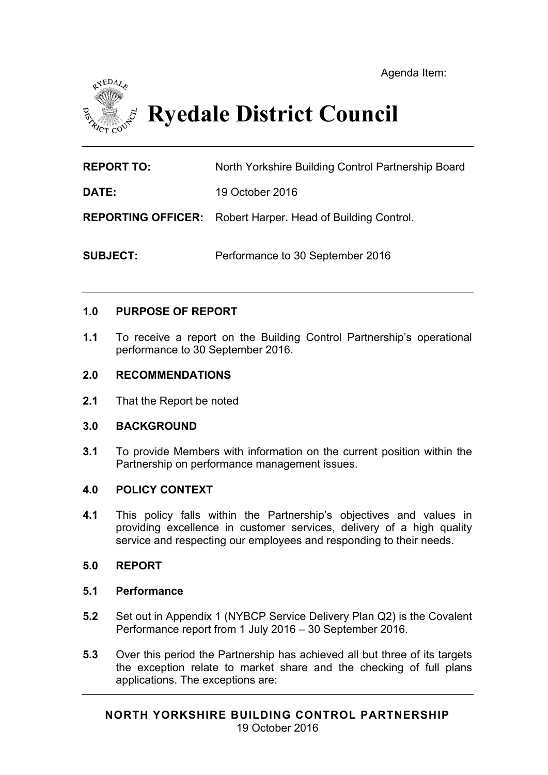

# **Ryedale District Council**

**REPORT TO:** North Yorkshire Building Control Partnership Board

**DATE:** 19 October 2016

**REPORTING OFFICER:** Robert Harper. Head of Building Control.

**SUBJECT:** Performance to 30 September 2016

#### **1.0 PURPOSE OF REPORT**

**1.1** To receive a report on the Building Control Partnership's operational performance to 30 September 2016.

#### **2.0 RECOMMENDATIONS**

**2.1** That the Report be noted

#### **3.0 BACKGROUND**

**3.1** To provide Members with information on the current position within the Partnership on performance management issues.

### **4.0 POLICY CONTEXT**

**4.1** This policy falls within the Partnership's objectives and values in providing excellence in customer services, delivery of a high quality service and respecting our employees and responding to their needs.

#### **5.0 REPORT**

#### **5.1 Performance**

- **5.2** Set out in Appendix 1 (NYBCP Service Delivery Plan Q2) is the Covalent Performance report from 1 July 2016 – 30 September 2016.
- **5.3** Over this period the Partnership has achieved all but three of its targets the exception relate to market share and the checking of full plans applications. The exceptions are: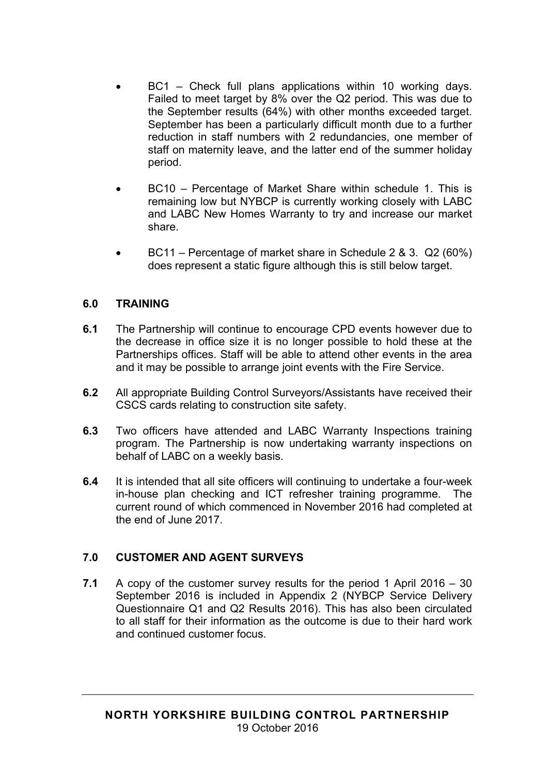- BC1 Check full plans applications within 10 working days. Failed to meet target by 8% over the Q2 period. This was due to the September results (64%) with other months exceeded target. September has been a particularly difficult month due to a further reduction in staff numbers with 2 redundancies, one member of staff on maternity leave, and the latter end of the summer holiday period.
- BC10 Percentage of Market Share within schedule 1. This is remaining low but NYBCP is currently working closely with LABC and LABC New Homes Warranty to try and increase our market share.
- BC11 Percentage of market share in Schedule 2 & 3. Q2 (60%) does represent a static figure although this is still below target.

## **6.0 TRAINING**

- **6.1** The Partnership will continue to encourage CPD events however due to the decrease in office size it is no longer possible to hold these at the Partnerships offices. Staff will be able to attend other events in the area and it may be possible to arrange joint events with the Fire Service.
- **6.2** All appropriate Building Control Surveyors/Assistants have received their CSCS cards relating to construction site safety.
- **6.3** Two officers have attended and LABC Warranty Inspections training program. The Partnership is now undertaking warranty inspections on behalf of LABC on a weekly basis.
- **6.4** It is intended that all site officers will continuing to undertake a four-week in-house plan checking and ICT refresher training programme. The current round of which commenced in November 2016 had completed at the end of June 2017.

# **7.0 CUSTOMER AND AGENT SURVEYS**

**7.1** A copy of the customer survey results for the period 1 April 2016 – 30 September 2016 is included in Appendix 2 (NYBCP Service Delivery Questionnaire Q1 and Q2 Results 2016). This has also been circulated to all staff for their information as the outcome is due to their hard work and continued customer focus.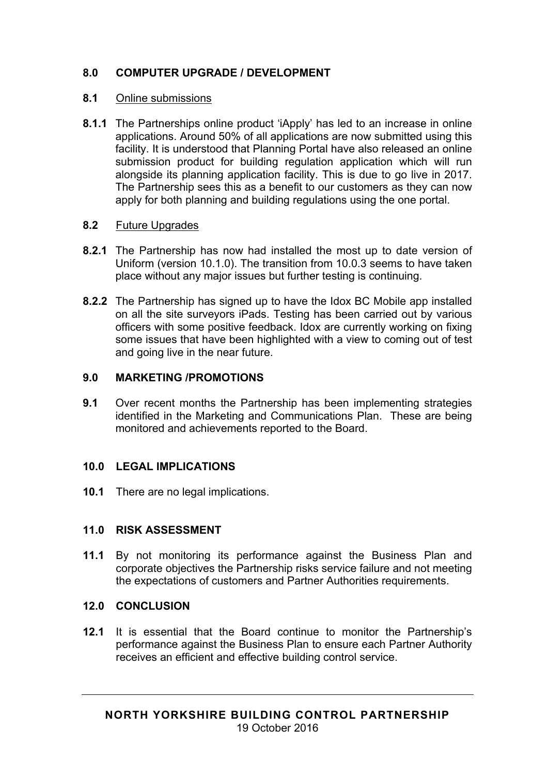# **8.0 COMPUTER UPGRADE / DEVELOPMENT**

## **8.1** Online submissions

**8.1.1** The Partnerships online product 'iApply' has led to an increase in online applications. Around 50% of all applications are now submitted using this facility. It is understood that Planning Portal have also released an online submission product for building regulation application which will run alongside its planning application facility. This is due to go live in 2017. The Partnership sees this as a benefit to our customers as they can now apply for both planning and building regulations using the one portal.

## **8.2** Future Upgrades

- **8.2.1** The Partnership has now had installed the most up to date version of Uniform (version 10.1.0). The transition from 10.0.3 seems to have taken place without any major issues but further testing is continuing.
- **8.2.2** The Partnership has signed up to have the Idox BC Mobile app installed on all the site surveyors iPads. Testing has been carried out by various officers with some positive feedback. Idox are currently working on fixing some issues that have been highlighted with a view to coming out of test and going live in the near future.

## **9.0 MARKETING /PROMOTIONS**

**9.1** Over recent months the Partnership has been implementing strategies identified in the Marketing and Communications Plan. These are being monitored and achievements reported to the Board.

# **10.0 LEGAL IMPLICATIONS**

**10.1** There are no legal implications.

# **11.0 RISK ASSESSMENT**

**11.1** By not monitoring its performance against the Business Plan and corporate objectives the Partnership risks service failure and not meeting the expectations of customers and Partner Authorities requirements.

# **12.0 CONCLUSION**

**12.1** It is essential that the Board continue to monitor the Partnership's performance against the Business Plan to ensure each Partner Authority receives an efficient and effective building control service.